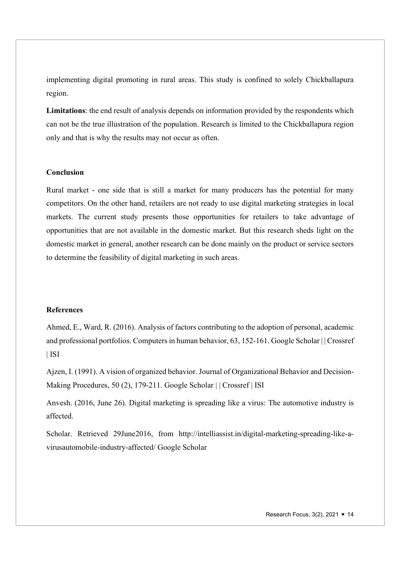implementing digital promoting in rural areas. This study is confined to solely Chickballapura region.

Limitations: the end result of analysis depends on information provided by the respondents which can not be the true illustration of the population. Research is limited to the Chickballapura region only and that is why the results may not occur as often.

# Conclusion

Rural market - one side that is still a market for many producers has the potential for many competitors. On the other hand, retailers are not ready to use digital marketing strategies in local markets. The current study presents those opportunities for retailers to take advantage of opportunities that are not available in the domestic market. But this research sheds light on the domestic market in general, another research can be done mainly on the product or service sectors to determine the feasibility of digital marketing in such areas.

## References

Ahmed, E., Ward, R. (2016). Analysis of factors contributing to the adoption of personal, academic and professional portfolios. Computers in human behavior, 63, 152-161. Google Scholar | | Crossref | ISI

Ajzen, I. (1991). A vision of organized behavior. Journal of Organizational Behavior and Decision-Making Procedures, 50 (2), 179-211. Google Scholar | | Crossref | ISI

Anvesh. (2016, June 26). Digital marketing is spreading like a virus: The automotive industry is affected.

Scholar. Retrieved 29June2016, from http://intelliassist.in/digital-marketing-spreading-like-avirusautomobile-industry-affected/ Google Scholar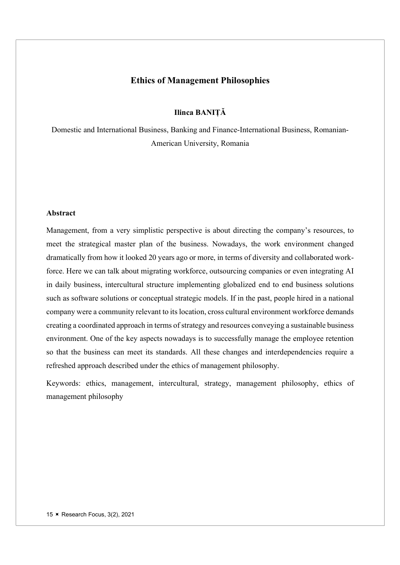# Ethics of Management Philosophies

Ilinca BANIȚĂ

Domestic and International Business, Banking and Finance-International Business, Romanian-American University, Romania

### Abstract

Management, from a very simplistic perspective is about directing the company's resources, to meet the strategical master plan of the business. Nowadays, the work environment changed dramatically from how it looked 20 years ago or more, in terms of diversity and collaborated workforce. Here we can talk about migrating workforce, outsourcing companies or even integrating AI in daily business, intercultural structure implementing globalized end to end business solutions such as software solutions or conceptual strategic models. If in the past, people hired in a national company were a community relevant to its location, cross cultural environment workforce demands creating a coordinated approach in terms of strategy and resources conveying a sustainable business environment. One of the key aspects nowadays is to successfully manage the employee retention so that the business can meet its standards. All these changes and interdependencies require a refreshed approach described under the ethics of management philosophy.

Keywords: ethics, management, intercultural, strategy, management philosophy, ethics of management philosophy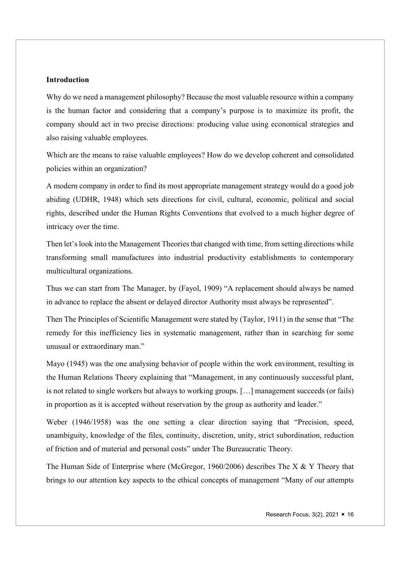### **Introduction**

Why do we need a management philosophy? Because the most valuable resource within a company is the human factor and considering that a company's purpose is to maximize its profit, the company should act in two precise directions: producing value using economical strategies and also raising valuable employees.

Which are the means to raise valuable employees? How do we develop coherent and consolidated policies within an organization?

A modern company in order to find its most appropriate management strategy would do a good job abiding (UDHR, 1948) which sets directions for civil, cultural, economic, political and social rights, described under the Human Rights Conventions that evolved to a much higher degree of intricacy over the time.

Then let's look into the Management Theories that changed with time, from setting directions while transforming small manufactures into industrial productivity establishments to contemporary multicultural organizations.

Thus we can start from The Manager, by (Fayol, 1909) "A replacement should always be named in advance to replace the absent or delayed director Authority must always be represented".

Then The Principles of Scientific Management were stated by (Taylor, 1911) in the sense that "The remedy for this inefficiency lies in systematic management, rather than in searching for some unusual or extraordinary man."

Mayo (1945) was the one analysing behavior of people within the work environment, resulting in the Human Relations Theory explaining that "Management, in any continuously successful plant, is not related to single workers but always to working groups. […] management succeeds (or fails) in proportion as it is accepted without reservation by the group as authority and leader."

Weber (1946/1958) was the one setting a clear direction saying that "Precision, speed, unambiguity, knowledge of the files, continuity, discretion, unity, strict subordination, reduction of friction and of material and personal costs" under The Bureaucratic Theory.

The Human Side of Enterprise where (McGregor, 1960/2006) describes The X & Y Theory that brings to our attention key aspects to the ethical concepts of management "Many of our attempts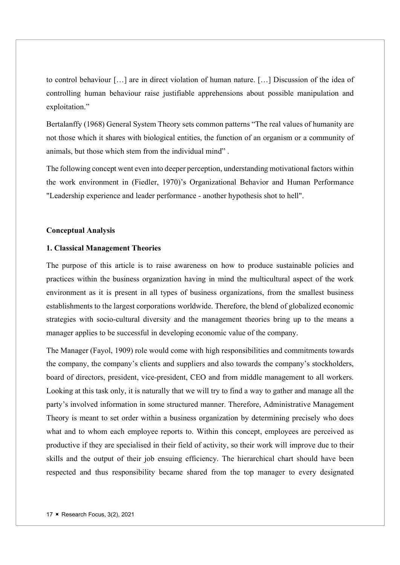to control behaviour […] are in direct violation of human nature. […] Discussion of the idea of controlling human behaviour raise justifiable apprehensions about possible manipulation and exploitation."

Bertalanffy (1968) General System Theory sets common patterns "The real values of humanity are not those which it shares with biological entities, the function of an organism or a community of animals, but those which stem from the individual mind" .

The following concept went even into deeper perception, understanding motivational factors within the work environment in (Fiedler, 1970)'s Organizational Behavior and Human Performance "Leadership experience and leader performance - another hypothesis shot to hell".

#### Conceptual Analysis

### 1. Classical Management Theories

The purpose of this article is to raise awareness on how to produce sustainable policies and practices within the business organization having in mind the multicultural aspect of the work environment as it is present in all types of business organizations, from the smallest business establishments to the largest corporations worldwide. Therefore, the blend of globalized economic strategies with socio-cultural diversity and the management theories bring up to the means a manager applies to be successful in developing economic value of the company.

The Manager (Fayol, 1909) role would come with high responsibilities and commitments towards the company, the company's clients and suppliers and also towards the company's stockholders, board of directors, president, vice-president, CEO and from middle management to all workers. Looking at this task only, it is naturally that we will try to find a way to gather and manage all the party's involved information in some structured manner. Therefore, Administrative Management Theory is meant to set order within a business organization by determining precisely who does what and to whom each employee reports to. Within this concept, employees are perceived as productive if they are specialised in their field of activity, so their work will improve due to their skills and the output of their job ensuing efficiency. The hierarchical chart should have been respected and thus responsibility became shared from the top manager to every designated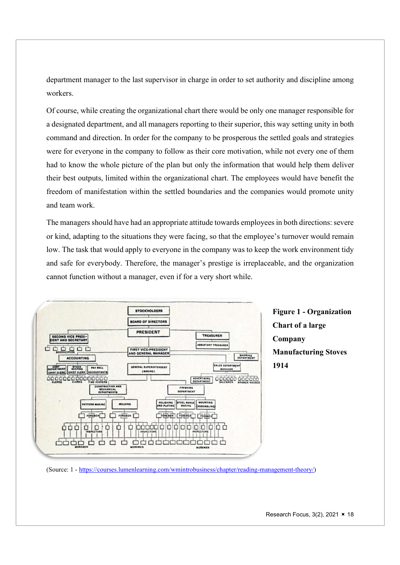department manager to the last supervisor in charge in order to set authority and discipline among workers.

Of course, while creating the organizational chart there would be only one manager responsible for a designated department, and all managers reporting to their superior, this way setting unity in both command and direction. In order for the company to be prosperous the settled goals and strategies were for everyone in the company to follow as their core motivation, while not every one of them had to know the whole picture of the plan but only the information that would help them deliver their best outputs, limited within the organizational chart. The employees would have benefit the freedom of manifestation within the settled boundaries and the companies would promote unity and team work.

The managers should have had an appropriate attitude towards employees in both directions: severe or kind, adapting to the situations they were facing, so that the employee's turnover would remain low. The task that would apply to everyone in the company was to keep the work environment tidy and safe for everybody. Therefore, the manager's prestige is irreplaceable, and the organization cannot function without a manager, even if for a very short while.



Figure 1 - Organization Chart of a large Company Manufacturing Stoves 1914

(Source: 1 - https://courses.lumenlearning.com/wmintrobusiness/chapter/reading-management-theory/)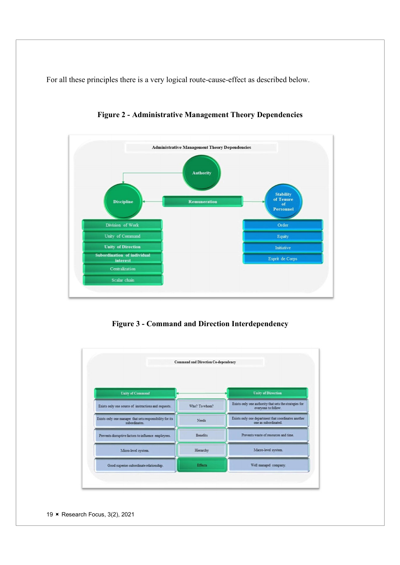For all these principles there is a very logical route-cause-effect as described below.



Figure 2 - Administrative Management Theory Dependencies

Figure 3 - Command and Direction Interdependency



19 **K** Research Focus, 3(2), 2021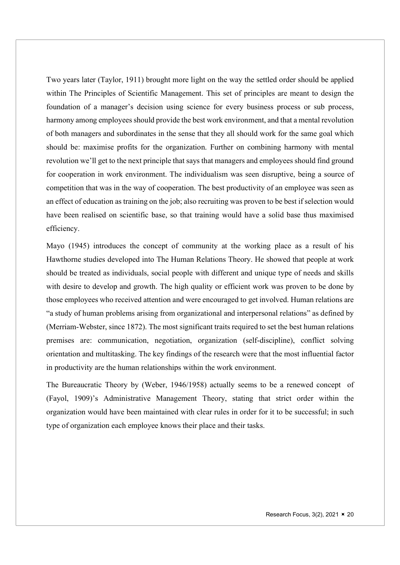Two years later (Taylor, 1911) brought more light on the way the settled order should be applied within The Principles of Scientific Management. This set of principles are meant to design the foundation of a manager's decision using science for every business process or sub process, harmony among employees should provide the best work environment, and that a mental revolution of both managers and subordinates in the sense that they all should work for the same goal which should be: maximise profits for the organization. Further on combining harmony with mental revolution we'll get to the next principle that says that managers and employees should find ground for cooperation in work environment. The individualism was seen disruptive, being a source of competition that was in the way of cooperation. The best productivity of an employee was seen as an effect of education as training on the job; also recruiting was proven to be best if selection would have been realised on scientific base, so that training would have a solid base thus maximised efficiency.

Mayo (1945) introduces the concept of community at the working place as a result of his Hawthorne studies developed into The Human Relations Theory. He showed that people at work should be treated as individuals, social people with different and unique type of needs and skills with desire to develop and growth. The high quality or efficient work was proven to be done by those employees who received attention and were encouraged to get involved. Human relations are "a study of human problems arising from organizational and interpersonal relations" as defined by (Merriam-Webster, since 1872). The most significant traits required to set the best human relations premises are: communication, negotiation, organization (self-discipline), conflict solving orientation and multitasking. The key findings of the research were that the most influential factor in productivity are the human relationships within the work environment.

The Bureaucratic Theory by (Weber, 1946/1958) actually seems to be a renewed concept of (Fayol, 1909)'s Administrative Management Theory, stating that strict order within the organization would have been maintained with clear rules in order for it to be successful; in such type of organization each employee knows their place and their tasks.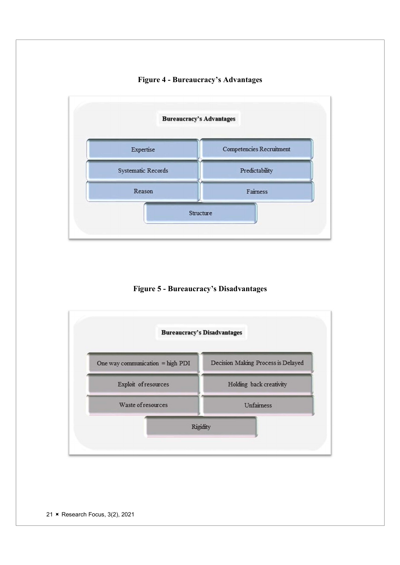# Figure 4 - Bureaucracy's Advantages



Figure 5 - Bureaucracy's Disadvantages

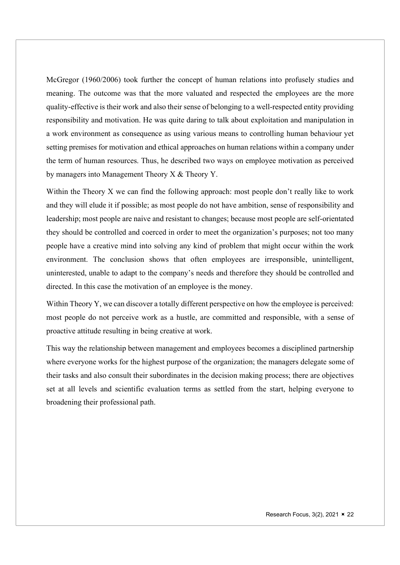McGregor (1960/2006) took further the concept of human relations into profusely studies and meaning. The outcome was that the more valuated and respected the employees are the more quality-effective is their work and also their sense of belonging to a well-respected entity providing responsibility and motivation. He was quite daring to talk about exploitation and manipulation in a work environment as consequence as using various means to controlling human behaviour yet setting premises for motivation and ethical approaches on human relations within a company under the term of human resources. Thus, he described two ways on employee motivation as perceived by managers into Management Theory X & Theory Y.

Within the Theory X we can find the following approach: most people don't really like to work and they will elude it if possible; as most people do not have ambition, sense of responsibility and leadership; most people are naive and resistant to changes; because most people are self-orientated they should be controlled and coerced in order to meet the organization's purposes; not too many people have a creative mind into solving any kind of problem that might occur within the work environment. The conclusion shows that often employees are irresponsible, unintelligent, uninterested, unable to adapt to the company's needs and therefore they should be controlled and directed. In this case the motivation of an employee is the money.

Within Theory Y, we can discover a totally different perspective on how the employee is perceived: most people do not perceive work as a hustle, are committed and responsible, with a sense of proactive attitude resulting in being creative at work.

This way the relationship between management and employees becomes a disciplined partnership where everyone works for the highest purpose of the organization; the managers delegate some of their tasks and also consult their subordinates in the decision making process; there are objectives set at all levels and scientific evaluation terms as settled from the start, helping everyone to broadening their professional path.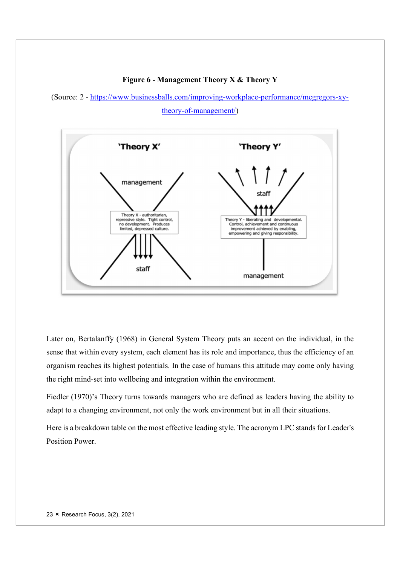#### Figure 6 - Management Theory X & Theory Y

(Source: 2 - https://www.businessballs.com/improving-workplace-performance/mcgregors-xytheory-of-management/)



Later on, Bertalanffy (1968) in General System Theory puts an accent on the individual, in the sense that within every system, each element has its role and importance, thus the efficiency of an organism reaches its highest potentials. In the case of humans this attitude may come only having the right mind-set into wellbeing and integration within the environment.

Fiedler (1970)'s Theory turns towards managers who are defined as leaders having the ability to adapt to a changing environment, not only the work environment but in all their situations.

Here is a breakdown table on the most effective leading style. The acronym LPC stands for Leader's Position Power.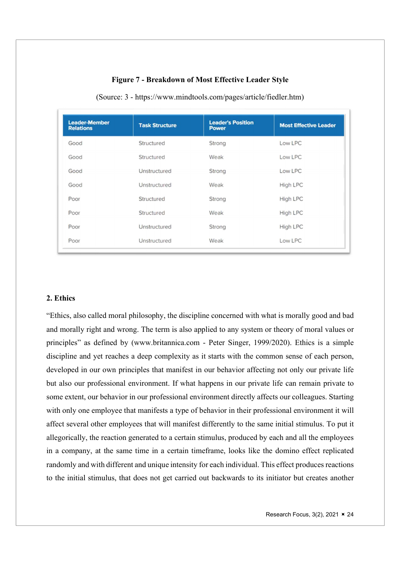## Figure 7 - Breakdown of Most Effective Leader Style

| <b>Leader-Member</b><br><b>Relations</b> | <b>Task Structure</b> | <b>Leader's Position</b><br><b>Power</b> | <b>Most Effective Leader</b> |
|------------------------------------------|-----------------------|------------------------------------------|------------------------------|
| Good                                     | Structured            | Strong                                   | Low LPC                      |
| Good                                     | Structured            | Weak                                     | Low LPC                      |
| Good                                     | Unstructured          | Strong                                   | Low LPC                      |
| Good                                     | Unstructured          | Weak                                     | High LPC                     |
| Poor                                     | Structured            | Strong                                   | <b>High LPC</b>              |
| Poor                                     | Structured            | Weak                                     | <b>High LPC</b>              |
| Poor                                     | Unstructured          | Strong                                   | High LPC                     |
| Poor                                     | Unstructured          | Weak                                     | Low LPC                      |

(Source: 3 - https://www.mindtools.com/pages/article/fiedler.htm)

## 2. Ethics

"Ethics, also called moral philosophy, the discipline concerned with what is morally good and bad and morally right and wrong. The term is also applied to any system or theory of moral values or principles" as defined by (www.britannica.com - Peter Singer, 1999/2020). Ethics is a simple discipline and yet reaches a deep complexity as it starts with the common sense of each person, developed in our own principles that manifest in our behavior affecting not only our private life but also our professional environment. If what happens in our private life can remain private to some extent, our behavior in our professional environment directly affects our colleagues. Starting with only one employee that manifests a type of behavior in their professional environment it will affect several other employees that will manifest differently to the same initial stimulus. To put it allegorically, the reaction generated to a certain stimulus, produced by each and all the employees in a company, at the same time in a certain timeframe, looks like the domino effect replicated randomly and with different and unique intensity for each individual. This effect produces reactions to the initial stimulus, that does not get carried out backwards to its initiator but creates another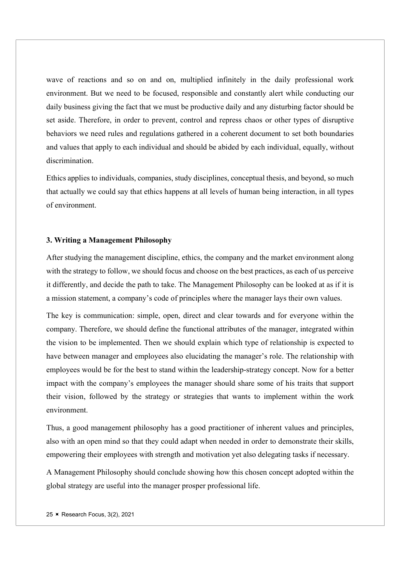wave of reactions and so on and on, multiplied infinitely in the daily professional work environment. But we need to be focused, responsible and constantly alert while conducting our daily business giving the fact that we must be productive daily and any disturbing factor should be set aside. Therefore, in order to prevent, control and repress chaos or other types of disruptive behaviors we need rules and regulations gathered in a coherent document to set both boundaries and values that apply to each individual and should be abided by each individual, equally, without discrimination.

Ethics applies to individuals, companies, study disciplines, conceptual thesis, and beyond, so much that actually we could say that ethics happens at all levels of human being interaction, in all types of environment.

### 3. Writing a Management Philosophy

After studying the management discipline, ethics, the company and the market environment along with the strategy to follow, we should focus and choose on the best practices, as each of us perceive it differently, and decide the path to take. The Management Philosophy can be looked at as if it is a mission statement, a company's code of principles where the manager lays their own values.

The key is communication: simple, open, direct and clear towards and for everyone within the company. Therefore, we should define the functional attributes of the manager, integrated within the vision to be implemented. Then we should explain which type of relationship is expected to have between manager and employees also elucidating the manager's role. The relationship with employees would be for the best to stand within the leadership-strategy concept. Now for a better impact with the company's employees the manager should share some of his traits that support their vision, followed by the strategy or strategies that wants to implement within the work environment.

Thus, a good management philosophy has a good practitioner of inherent values and principles, also with an open mind so that they could adapt when needed in order to demonstrate their skills, empowering their employees with strength and motivation yet also delegating tasks if necessary.

A Management Philosophy should conclude showing how this chosen concept adopted within the global strategy are useful into the manager prosper professional life.